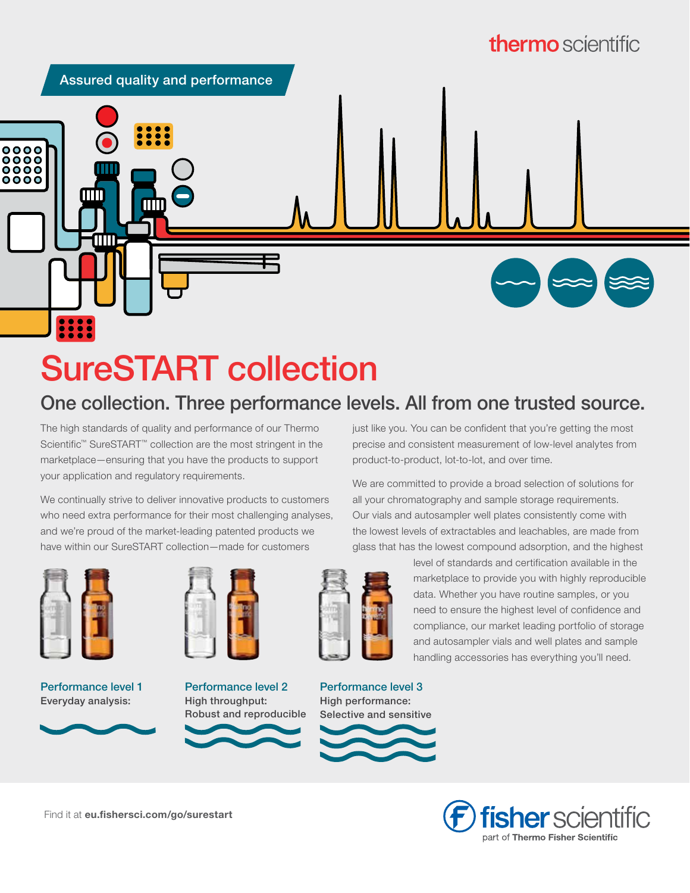

# SureSTART collection

# One collection. Three performance levels. All from one trusted source.

The high standards of quality and performance of our Thermo Scientific<sup>™</sup> SureSTART<sup>™</sup> collection are the most stringent in the marketplace—ensuring that you have the products to support your application and regulatory requirements.

We continually strive to deliver innovative products to customers who need extra performance for their most challenging analyses, and we're proud of the market-leading patented products we have within our SureSTART collection—made for customers



Performance level 1 Everyday analysis:



Performance level 2 High throughput: Robust and reproducible



We are committed to provide a broad selection of solutions for all your chromatography and sample storage requirements. Our vials and autosampler well plates consistently come with the lowest levels of extractables and leachables, are made from glass that has the lowest compound adsorption, and the highest



Performance level 3 High performance: Selective and sensitive

level of standards and certification available in the marketplace to provide you with highly reproducible data. Whether you have routine samples, or you need to ensure the highest level of confidence and compliance, our market leading portfolio of storage and autosampler vials and well plates and sample handling accessories has everything you'll need.

> **fisher** scientific part of Thermo Fisher Scientific

Find it at [eu.fishersci.com/go/surestart](https://eu.fishersci.com/go/surestart)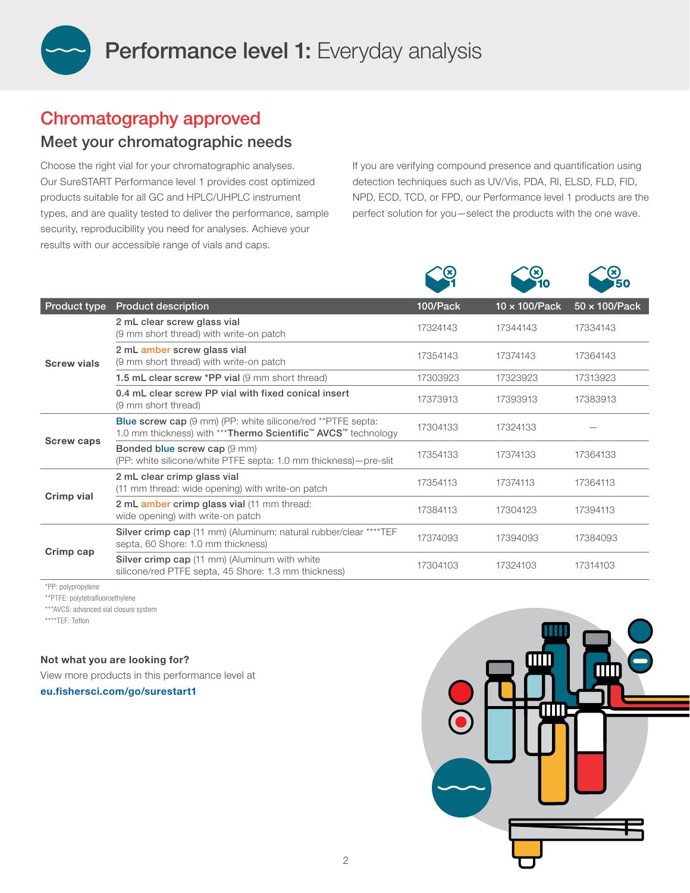

# Chromatography approved

### Meet your chromatographic needs

Choose the right vial for your chromatographic analyses. Our SureSTART Performance level 1 provides cost optimized products suitable for all GC and HPLC/UHPLC instrument types, and are quality tested to deliver the performance, sample security, reproducibility you need for analyses. Achieve your results with our accessible range of vials and caps.

If you are verifying compound presence and quantification using detection techniques such as UV/Vis, PDA, RI, ELSD, FLD, FID, NPD, ECD, TCD, or FPD, our Performance level 1 products are the perfect solution for you—select the products with the one wave.

|                     |                                                                                                                                                  |          | (X)                   | (x)<br>50             |
|---------------------|--------------------------------------------------------------------------------------------------------------------------------------------------|----------|-----------------------|-----------------------|
| <b>Product type</b> | <b>Product description</b>                                                                                                                       | 100/Pack | $10 \times 100$ /Pack | $50 \times 100$ /Pack |
| <b>Screw vials</b>  | 2 mL clear screw glass vial<br>(9 mm short thread) with write-on patch                                                                           | 17324143 | 17344143              | 17334143              |
|                     | 2 mL amber screw glass vial<br>(9 mm short thread) with write-on patch                                                                           | 17354143 | 17374143              | 17364143              |
|                     | 1.5 mL clear screw *PP vial (9 mm short thread)                                                                                                  | 17303923 | 17323923              | 17313923              |
|                     | 0.4 mL clear screw PP vial with fixed conical insert<br>(9 mm short thread)                                                                      | 17373913 | 17393913              | 17383913              |
| <b>Screw caps</b>   | <b>Blue screw cap</b> (9 mm) (PP: white silicone/red **PTFE septa:<br>1.0 mm thickness) with *** Thermo Scientific <sup>™</sup> AVCS™ technology | 17304133 | 17324133              |                       |
|                     | Bonded blue screw cap (9 mm)<br>(PP: white silicone/white PTFE septa: 1.0 mm thickness) – pre-slit                                               | 17354133 | 17374133              | 17364133              |
| Crimp vial          | 2 mL clear crimp glass vial<br>(11 mm thread: wide opening) with write-on patch                                                                  | 17354113 | 17374113              | 17364113              |
|                     | 2 mL amber crimp glass vial (11 mm thread:<br>wide opening) with write-on patch                                                                  | 17384113 | 17304123              | 17394113              |
| Crimp cap           | Silver crimp cap (11 mm) (Aluminum: natural rubber/clear ****TEF<br>septa, 60 Shore: 1.0 mm thickness)                                           | 17374093 | 17394093              | 17384093              |
|                     | <b>Silver crimp cap</b> (11 mm) (Aluminum with white<br>silicone/red PTFE septa, 45 Shore: 1.3 mm thickness)                                     | 17304103 | 17324103              | 17314103              |

\*PP: polypropylene

\*\*PTFE: polytetrafluoroethylene

\*\*\*AVCS: advanced vial closure system

\*\*\*\*TEF: Teflon

Not what you are looking for?

View more products in this performance level at

[eu.fishersci.com/go/surestart1](http://eu.fishersci.com/go/surestart1)

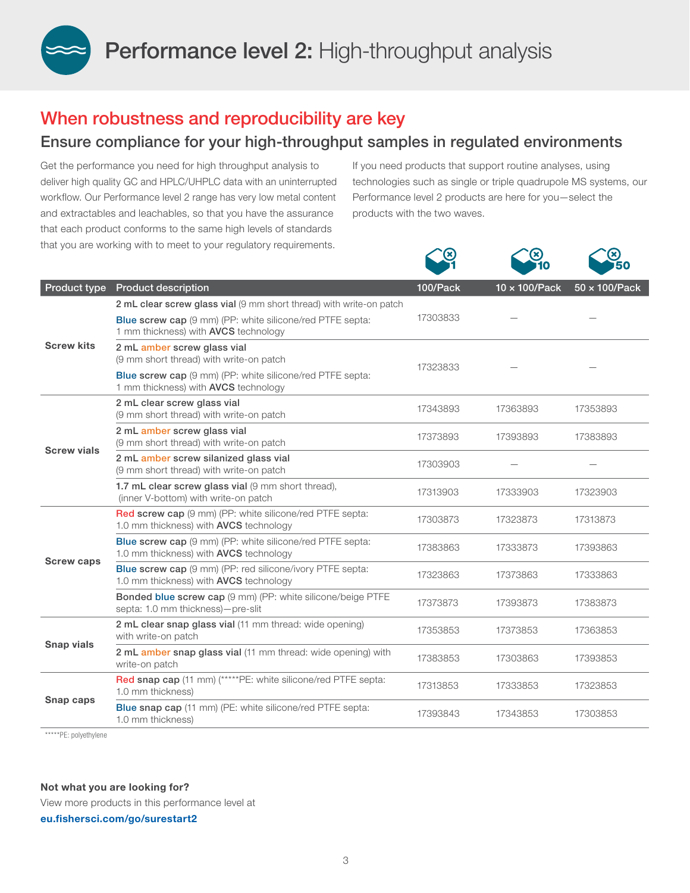Performance level 2: High-throughput analysis

## When robustness and reproducibility are key

### Ensure compliance for your high-throughput samples in regulated environments

Get the performance you need for high throughput analysis to deliver high quality GC and HPLC/UHPLC data with an uninterrupted workflow. Our Performance level 2 range has very low metal content and extractables and leachables, so that you have the assurance that each product conforms to the same high levels of standards that you are working with to meet to your regulatory requirements.

If you need products that support routine analyses, using technologies such as single or triple quadrupole MS systems, our Performance level 2 products are here for you—select the products with the two waves.

 $\curvearrowright$ 

 $\mathcal{L}$ <br>⊗

 $\curvearrowright$ 

|                    |                                                                                                                   |          | <b>10</b>             | 150                   |
|--------------------|-------------------------------------------------------------------------------------------------------------------|----------|-----------------------|-----------------------|
| Product type       | <b>Product description</b>                                                                                        | 100/Pack | $10 \times 100$ /Pack | $50 \times 100$ /Pack |
| <b>Screw kits</b>  | 2 mL clear screw glass vial (9 mm short thread) with write-on patch                                               | 17303833 |                       |                       |
|                    | <b>Blue screw cap</b> (9 mm) (PP: white silicone/red PTFE septa:<br>1 mm thickness) with AVCS technology          |          |                       |                       |
|                    | 2 mL amber screw glass vial<br>(9 mm short thread) with write-on patch                                            | 17323833 |                       |                       |
|                    | <b>Blue screw cap</b> (9 mm) (PP: white silicone/red PTFE septa:<br>1 mm thickness) with AVCS technology          |          |                       |                       |
| <b>Screw vials</b> | 2 mL clear screw glass vial<br>(9 mm short thread) with write-on patch                                            | 17343893 | 17363893              | 17353893              |
|                    | 2 mL amber screw glass vial<br>(9 mm short thread) with write-on patch                                            | 17373893 | 17393893              | 17383893              |
|                    | 2 mL amber screw silanized glass vial<br>(9 mm short thread) with write-on patch                                  | 17303903 |                       |                       |
|                    | 1.7 mL clear screw glass vial (9 mm short thread),<br>(inner V-bottom) with write-on patch                        | 17313903 | 17333903              | 17323903              |
|                    | Red screw cap (9 mm) (PP: white silicone/red PTFE septa:<br>1.0 mm thickness) with AVCS technology                | 17303873 | 17323873              | 17313873              |
| <b>Screw caps</b>  | Blue screw cap (9 mm) (PP: white silicone/red PTFE septa:<br>1.0 mm thickness) with <b>AVCS</b> technology        | 17383863 | 17333873              | 17393863              |
|                    | <b>Blue screw cap</b> (9 mm) (PP: red silicone/ivory PTFE septa:<br>1.0 mm thickness) with <b>AVCS</b> technology | 17323863 | 17373863              | 17333863              |
|                    | Bonded blue screw cap (9 mm) (PP: white silicone/beige PTFE<br>septa: 1.0 mm thickness)-pre-slit                  | 17373873 | 17393873              | 17383873              |
| <b>Snap vials</b>  | 2 mL clear snap glass vial (11 mm thread: wide opening)<br>with write-on patch                                    | 17353853 | 17373853              | 17363853              |
|                    | 2 mL amber snap glass vial (11 mm thread: wide opening) with<br>write-on patch                                    | 17383853 | 17303863              | 17393853              |
| Snap caps          | Red snap cap (11 mm) (*****PE: white silicone/red PTFE septa:<br>1.0 mm thickness)                                | 17313853 | 17333853              | 17323853              |
|                    | <b>Blue snap cap</b> (11 mm) (PE: white silicone/red PTFE septa:<br>1.0 mm thickness)                             | 17393843 | 17343853              | 17303853              |
|                    |                                                                                                                   |          |                       |                       |

\*\*\*\*\*PE: polyethylene

#### Not what you are looking for?

View more products in this performance level at [eu.fishersci.com/go/surestart2](http://eu.fishersci.com/go/surestart2)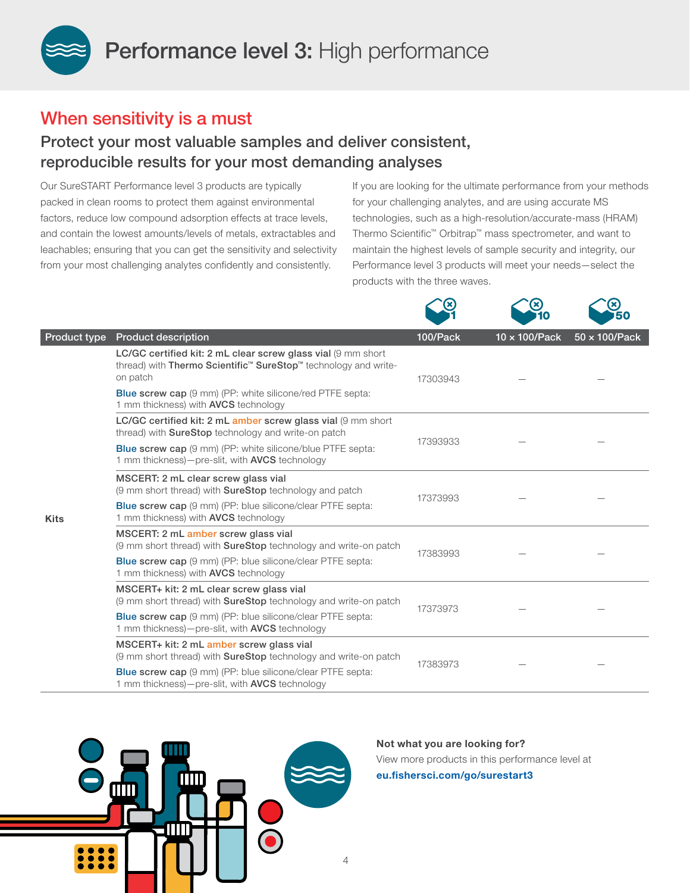Performance level 3: High performance

### When sensitivity is a must

### Protect your most valuable samples and deliver consistent, reproducible results for your most demanding analyses

Our SureSTART Performance level 3 products are typically packed in clean rooms to protect them against environmental factors, reduce low compound adsorption effects at trace levels, and contain the lowest amounts/levels of metals, extractables and leachables; ensuring that you can get the sensitivity and selectivity from your most challenging analytes confidently and consistently.

If you are looking for the ultimate performance from your methods for your challenging analytes, and are using accurate MS technologies, such as a high-resolution/accurate-mass (HRAM) Thermo Scientific™ Orbitrap™ mass spectrometer, and want to maintain the highest levels of sample security and integrity, our Performance level 3 products will meet your needs—select the products with the three waves.

ີ⊗

ີ⊗

 $\curvearrowright$ 

|              |                                                                                                                                                                     |          | 10            | 50                    |
|--------------|---------------------------------------------------------------------------------------------------------------------------------------------------------------------|----------|---------------|-----------------------|
| Product type | <b>Product description</b>                                                                                                                                          | 100/Pack | 10 x 100/Pack | $50 \times 100$ /Pack |
| <b>Kits</b>  | LC/GC certified kit: 2 mL clear screw glass vial (9 mm short<br>thread) with Thermo Scientific <sup>™</sup> SureStop <sup>™</sup> technology and write-<br>on patch | 17303943 |               |                       |
|              | <b>Blue screw cap</b> (9 mm) (PP: white silicone/red PTFE septa:<br>1 mm thickness) with <b>AVCS</b> technology                                                     |          |               |                       |
|              | LC/GC certified kit: 2 mL amber screw glass vial (9 mm short<br>thread) with <b>SureStop</b> technology and write-on patch                                          | 17393933 |               |                       |
|              | <b>Blue screw cap</b> (9 mm) (PP: white silicone/blue PTFE septa:<br>1 mm thickness)-pre-slit, with <b>AVCS</b> technology                                          |          |               |                       |
|              | MSCERT: 2 mL clear screw glass vial<br>(9 mm short thread) with <b>SureStop</b> technology and patch                                                                | 17373993 |               |                       |
|              | <b>Blue screw cap</b> (9 mm) (PP: blue silicone/clear PTFE septa:<br>1 mm thickness) with <b>AVCS</b> technology                                                    |          |               |                       |
|              | MSCERT: 2 mL amber screw glass vial<br>(9 mm short thread) with <b>SureStop</b> technology and write-on patch                                                       | 17383993 |               |                       |
|              | <b>Blue screw cap</b> (9 mm) (PP: blue silicone/clear PTFE septa:<br>1 mm thickness) with <b>AVCS</b> technology                                                    |          |               |                       |
|              | MSCERT+ kit: 2 mL clear screw glass vial<br>(9 mm short thread) with <b>SureStop</b> technology and write-on patch                                                  | 17373973 |               |                       |
|              | <b>Blue screw cap</b> (9 mm) (PP: blue silicone/clear PTFE septa:<br>1 mm thickness)-pre-slit, with AVCS technology                                                 |          |               |                       |
|              | MSCERT+ kit: 2 mL amber screw glass vial<br>(9 mm short thread) with <b>SureStop</b> technology and write-on patch                                                  | 17383973 |               |                       |
|              | <b>Blue screw cap</b> (9 mm) (PP: blue silicone/clear PTFE septa:<br>1 mm thickness)-pre-slit, with <b>AVCS</b> technology                                          |          |               |                       |



Not what you are looking for? View more products in this performance level at [eu.fishersci.com/go/surestart3](http://eu.fishersci.com/go/surestart3)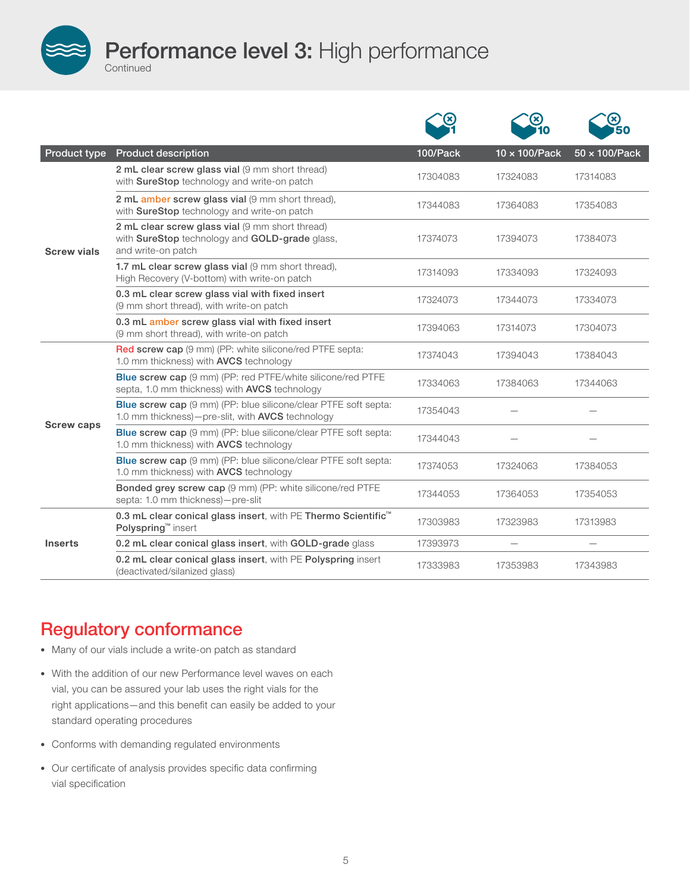Performance level 3: High performance

| Product type       | <b>Product description</b>                                                                                                        | 100/Pack | 10 x 100/Pack | $50 \times 100$ /Pack |
|--------------------|-----------------------------------------------------------------------------------------------------------------------------------|----------|---------------|-----------------------|
| <b>Screw vials</b> | 2 mL clear screw glass vial (9 mm short thread)<br>with SureStop technology and write-on patch                                    | 17304083 | 17324083      | 17314083              |
|                    | 2 mL amber screw glass vial (9 mm short thread).<br>with SureStop technology and write-on patch                                   | 17344083 | 17364083      | 17354083              |
|                    | 2 mL clear screw glass vial (9 mm short thread)<br>with SureStop technology and GOLD-grade glass,<br>and write-on patch           | 17374073 | 17394073      | 17384073              |
|                    | 1.7 mL clear screw glass vial (9 mm short thread),<br>High Recovery (V-bottom) with write-on patch                                | 17314093 | 17334093      | 17324093              |
|                    | 0.3 mL clear screw glass vial with fixed insert<br>(9 mm short thread), with write-on patch                                       | 17324073 | 17344073      | 17334073              |
|                    | 0.3 mL amber screw glass vial with fixed insert<br>(9 mm short thread), with write-on patch                                       | 17394063 | 17314073      | 17304073              |
| <b>Screw caps</b>  | <b>Red screw cap</b> (9 mm) (PP: white silicone/red PTFE septa:<br>1.0 mm thickness) with AVCS technology                         | 17374043 | 17394043      | 17384043              |
|                    | <b>Blue screw cap</b> (9 mm) (PP: red PTFE/white silicone/red PTFE<br>septa, 1.0 mm thickness) with AVCS technology               | 17334063 | 17384063      | 17344063              |
|                    | <b>Blue screw cap</b> (9 mm) (PP: blue silicone/clear PTFE soft septa:<br>1.0 mm thickness)-pre-slit, with <b>AVCS</b> technology | 17354043 |               |                       |
|                    | Blue screw cap (9 mm) (PP: blue silicone/clear PTFE soft septa:<br>1.0 mm thickness) with <b>AVCS</b> technology                  | 17344043 |               |                       |
|                    | <b>Blue screw cap</b> (9 mm) (PP: blue silicone/clear PTFE soft septa:<br>1.0 mm thickness) with AVCS technology                  | 17374053 | 17324063      | 17384053              |
|                    | Bonded grey screw cap (9 mm) (PP: white silicone/red PTFE<br>septa: 1.0 mm thickness)-pre-slit                                    | 17344053 | 17364053      | 17354053              |
|                    | 0.3 mL clear conical glass insert, with PE Thermo Scientific <sup>™</sup><br>Polyspring <sup>™</sup> insert                       | 17303983 | 17323983      | 17313983              |
| <b>Inserts</b>     | 0.2 mL clear conical glass insert, with GOLD-grade glass                                                                          | 17393973 |               |                       |
|                    | 0.2 mL clear conical glass insert, with PE Polyspring insert<br>(deactivated/silanized glass)                                     | 17333983 | 17353983      | 17343983              |

# Regulatory conformance

Continued

- Many of our vials include a write-on patch as standard
- With the addition of our new Performance level waves on each vial, you can be assured your lab uses the right vials for the right applications—and this benefit can easily be added to your standard operating procedures
- Conforms with demanding regulated environments
- Our certificate of analysis provides specific data confirming vial specification